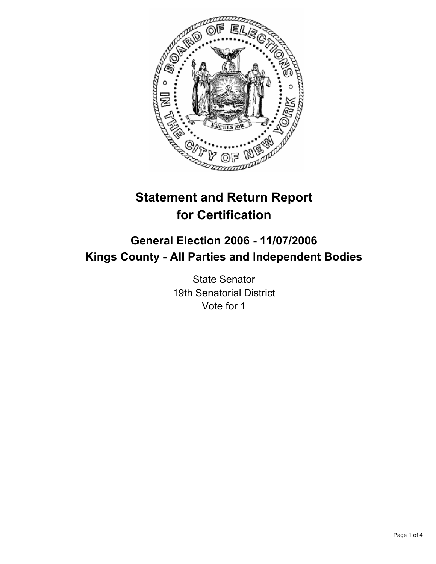

# **Statement and Return Report for Certification**

# **General Election 2006 - 11/07/2006 Kings County - All Parties and Independent Bodies**

State Senator 19th Senatorial District Vote for 1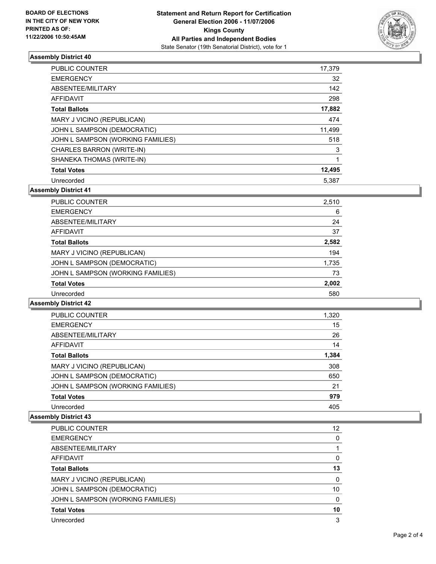

## **Assembly District 40**

| PUBLIC COUNTER                    | 17,379 |
|-----------------------------------|--------|
| <b>EMERGENCY</b>                  | 32     |
| ABSENTEE/MILITARY                 | 142    |
| <b>AFFIDAVIT</b>                  | 298    |
| <b>Total Ballots</b>              | 17,882 |
| MARY J VICINO (REPUBLICAN)        | 474    |
| JOHN L SAMPSON (DEMOCRATIC)       | 11,499 |
| JOHN L SAMPSON (WORKING FAMILIES) | 518    |
| CHARLES BARRON (WRITE-IN)         | 3      |
| SHANEKA THOMAS (WRITE-IN)         |        |
| <b>Total Votes</b>                | 12,495 |
| Unrecorded                        | 5.387  |

**Assembly District 41**

| <b>PUBLIC COUNTER</b>             | 2,510 |  |
|-----------------------------------|-------|--|
| <b>EMERGENCY</b>                  | 6     |  |
| ABSENTEE/MILITARY                 | 24    |  |
| AFFIDAVIT                         | 37    |  |
| <b>Total Ballots</b>              | 2,582 |  |
| MARY J VICINO (REPUBLICAN)        | 194   |  |
| JOHN L SAMPSON (DEMOCRATIC)       | 1,735 |  |
| JOHN L SAMPSON (WORKING FAMILIES) | 73    |  |
| <b>Total Votes</b>                | 2,002 |  |
| Unrecorded                        | 580   |  |

**Assembly District 42**

| PUBLIC COUNTER                    | 1,320 |
|-----------------------------------|-------|
| <b>EMERGENCY</b>                  | 15    |
| ABSENTEE/MILITARY                 | 26    |
| AFFIDAVIT                         | 14    |
| <b>Total Ballots</b>              | 1,384 |
| MARY J VICINO (REPUBLICAN)        | 308   |
| JOHN L SAMPSON (DEMOCRATIC)       | 650   |
| JOHN L SAMPSON (WORKING FAMILIES) | 21    |
| <b>Total Votes</b>                | 979   |
| Unrecorded                        | 405   |

#### **Assembly District 43**

| PUBLIC COUNTER                    | 12 |
|-----------------------------------|----|
| <b>EMERGENCY</b>                  |    |
| ABSENTEE/MILITARY                 |    |
| AFFIDAVIT                         |    |
| <b>Total Ballots</b>              | 13 |
| MARY J VICINO (REPUBLICAN)        |    |
| JOHN L SAMPSON (DEMOCRATIC)       | 10 |
| JOHN L SAMPSON (WORKING FAMILIES) |    |
| <b>Total Votes</b>                | 10 |
| Unrecorded                        |    |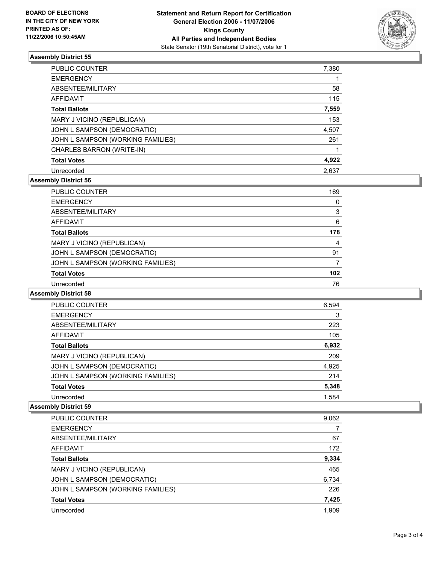

## **Assembly District 55**

| PUBLIC COUNTER                    | 7,380 |
|-----------------------------------|-------|
| <b>EMERGENCY</b>                  |       |
| ABSENTEE/MILITARY                 | 58    |
| <b>AFFIDAVIT</b>                  | 115   |
| <b>Total Ballots</b>              | 7,559 |
| MARY J VICINO (REPUBLICAN)        | 153   |
| JOHN L SAMPSON (DEMOCRATIC)       | 4,507 |
| JOHN L SAMPSON (WORKING FAMILIES) | 261   |
| CHARLES BARRON (WRITE-IN)         |       |
| <b>Total Votes</b>                | 4,922 |
| Unrecorded                        | 2,637 |

# **Assembly District 56**

| PUBLIC COUNTER                    | 169 |
|-----------------------------------|-----|
| <b>EMERGENCY</b>                  |     |
| ABSENTEE/MILITARY                 |     |
| <b>AFFIDAVIT</b>                  | 6   |
| <b>Total Ballots</b>              | 178 |
| MARY J VICINO (REPUBLICAN)        | 4   |
| JOHN L SAMPSON (DEMOCRATIC)       | 91  |
| JOHN L SAMPSON (WORKING FAMILIES) |     |
| <b>Total Votes</b>                | 102 |
| Unrecorded                        | 76  |

## **Assembly District 58**

| PUBLIC COUNTER                    | 6,594 |  |
|-----------------------------------|-------|--|
| <b>EMERGENCY</b>                  | 3     |  |
| ABSENTEE/MILITARY                 | 223   |  |
| AFFIDAVIT                         | 105   |  |
| <b>Total Ballots</b>              | 6,932 |  |
| MARY J VICINO (REPUBLICAN)        | 209   |  |
| JOHN L SAMPSON (DEMOCRATIC)       | 4,925 |  |
| JOHN L SAMPSON (WORKING FAMILIES) | 214   |  |
| <b>Total Votes</b>                | 5,348 |  |
| Unrecorded                        | 1.584 |  |

#### **Assembly District 59**

| PUBLIC COUNTER                    | 9,062 |
|-----------------------------------|-------|
| <b>EMERGENCY</b>                  |       |
| ABSENTEE/MILITARY                 | 67    |
| AFFIDAVIT                         | 172   |
| <b>Total Ballots</b>              | 9,334 |
| MARY J VICINO (REPUBLICAN)        | 465   |
| JOHN L SAMPSON (DEMOCRATIC)       | 6,734 |
| JOHN L SAMPSON (WORKING FAMILIES) | 226   |
| <b>Total Votes</b>                | 7,425 |
| Unrecorded                        | 1,909 |